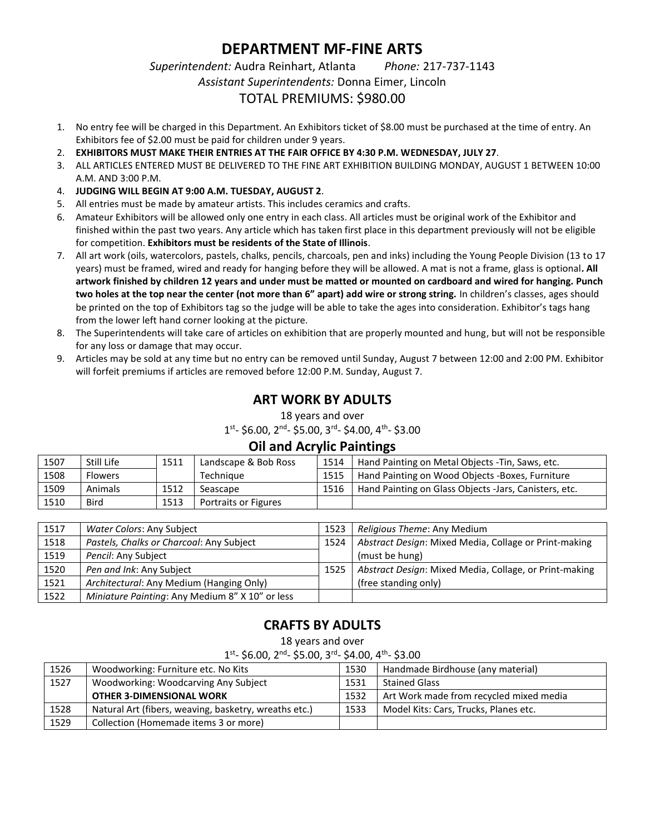# **DEPARTMENT MF-FINE ARTS**

## *Superintendent:* Audra Reinhart, Atlanta *Phone:* 217-737-1143

*Assistant Superintendents:* Donna Eimer, Lincoln

## TOTAL PREMIUMS: \$980.00

- 1. No entry fee will be charged in this Department. An Exhibitors ticket of \$8.00 must be purchased at the time of entry. An Exhibitors fee of \$2.00 must be paid for children under 9 years.
- 2. **EXHIBITORS MUST MAKE THEIR ENTRIES AT THE FAIR OFFICE BY 4:30 P.M. WEDNESDAY, JULY 27**.
- 3. ALL ARTICLES ENTERED MUST BE DELIVERED TO THE FINE ART EXHIBITION BUILDING MONDAY, AUGUST 1 BETWEEN 10:00 A.M. AND 3:00 P.M.
- 4. **JUDGING WILL BEGIN AT 9:00 A.M. TUESDAY, AUGUST 2**.
- 5. All entries must be made by amateur artists. This includes ceramics and crafts.
- 6. Amateur Exhibitors will be allowed only one entry in each class. All articles must be original work of the Exhibitor and finished within the past two years. Any article which has taken first place in this department previously will not be eligible for competition. **Exhibitors must be residents of the State of Illinois**.
- 7. All art work (oils, watercolors, pastels, chalks, pencils, charcoals, pen and inks) including the Young People Division (13 to 17 years) must be framed, wired and ready for hanging before they will be allowed. A mat is not a frame, glass is optional**. All artwork finished by children 12 years and under must be matted or mounted on cardboard and wired for hanging. Punch two holes at the top near the center (not more than 6" apart) add wire or strong string.** In children's classes, ages should be printed on the top of Exhibitors tag so the judge will be able to take the ages into consideration. Exhibitor's tags hang from the lower left hand corner looking at the picture.
- 8. The Superintendents will take care of articles on exhibition that are properly mounted and hung, but will not be responsible for any loss or damage that may occur.
- 9. Articles may be sold at any time but no entry can be removed until Sunday, August 7 between 12:00 and 2:00 PM. Exhibitor will forfeit premiums if articles are removed before 12:00 P.M. Sunday, August 7.

# **ART WORK BY ADULTS**

18 years and over 1<sup>st</sup>- \$6.00, 2<sup>nd</sup>- \$5.00, 3<sup>rd</sup>- \$4.00, 4<sup>th</sup>- \$3.00

# **Oil and Acrylic Paintings**

| 1507 | Still Life     | 1511 | Landscape & Bob Ross | 1514 | Hand Painting on Metal Objects - Tin, Saws, etc.       |
|------|----------------|------|----------------------|------|--------------------------------------------------------|
| 1508 | <b>Flowers</b> |      | Technique            | 1515 | Hand Painting on Wood Objects -Boxes, Furniture        |
| 1509 | Animals        | 1512 | Seascape             | 1516 | Hand Painting on Glass Objects - Jars, Canisters, etc. |
| 1510 | <b>Bird</b>    | 1513 | Portraits or Figures |      |                                                        |

| 1517 | <b>Water Colors: Any Subject</b>                |      | Religious Theme: Any Medium                            |
|------|-------------------------------------------------|------|--------------------------------------------------------|
| 1518 | Pastels, Chalks or Charcoal: Any Subject        |      | Abstract Design: Mixed Media, Collage or Print-making  |
| 1519 | Pencil: Any Subject                             |      | (must be hung)                                         |
| 1520 | Pen and Ink: Any Subject                        | 1525 | Abstract Design: Mixed Media, Collage, or Print-making |
| 1521 | Architectural: Any Medium (Hanging Only)        |      | (free standing only)                                   |
| 1522 | Miniature Painting: Any Medium 8" X 10" or less |      |                                                        |

# **CRAFTS BY ADULTS**

18 years and over

1<sup>st</sup>- \$6.00, 2<sup>nd</sup>- \$5.00, 3<sup>rd</sup>- \$4.00, 4<sup>th</sup>- \$3.00

| 1526 | Woodworking: Furniture etc. No Kits                   | 1530 | Handmade Birdhouse (any material)       |
|------|-------------------------------------------------------|------|-----------------------------------------|
| 1527 | Woodworking: Woodcarving Any Subject                  | 1531 | <b>Stained Glass</b>                    |
|      | <b>OTHER 3-DIMENSIONAL WORK</b>                       | 1532 | Art Work made from recycled mixed media |
| 1528 | Natural Art (fibers, weaving, basketry, wreaths etc.) | 1533 | Model Kits: Cars, Trucks, Planes etc.   |
| 1529 | Collection (Homemade items 3 or more)                 |      |                                         |